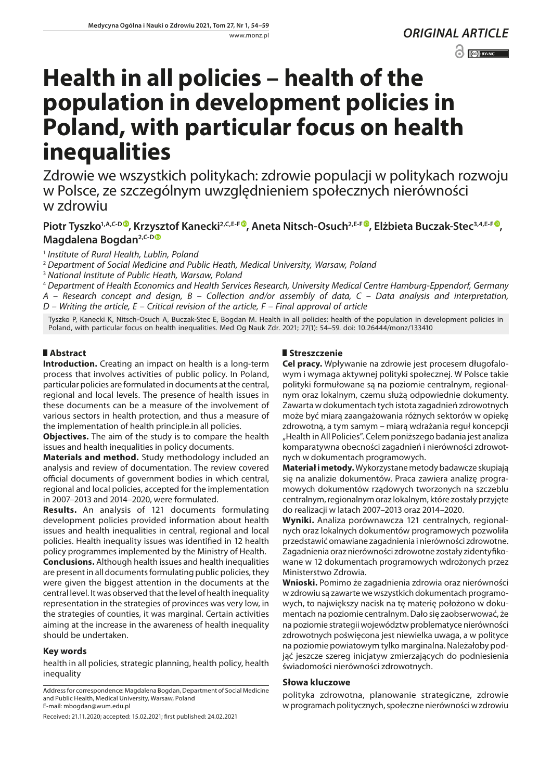# **Health in all policies – health of the population in development policies in Poland, with particular focus on health inequalities**

Zdrowie we wszystkich politykach: zdrowie populacji w politykach rozwoju w Polsce, ze szczególnym uwzględnieniem społecznych nierówności w zdrowiu

# **Piotr Tyszko1,A,C-D , Krzysztof Kanecki2,C,E-F [,](https://orcid.org/0000-0001-8931-8565) Aneta Nitsch-Osuch2,E-F [,](https://orcid.org/0000-0002-2622-7348) Elżbieta Buczak-Stec3,4,E-F ,**  Magdalena Bogdan<sup>2,C-D®</sup>

<sup>1</sup> *Institute of Rural Health, Lublin, Poland*

<sup>2</sup> *Department of Social Medicine and Public Heath, Medical University, Warsaw, Poland*

<sup>3</sup> *National Institute of Public Heath, Warsaw, Poland*

<sup>4</sup> *Department of Health Economics and Health Services Research, University Medical Centre Hamburg-Eppendorf, Germany A – Research concept and design, B – Collection and/or assembly of data, C – Data analysis and interpretation, D – Writing the article, E – Critical revision of the article, F – Final approval of article*

Tyszko P, Kanecki K, Nitsch-Osuch A, Buczak-Stec E, Bogdan M. Health in all policies: health of the population in development policies in Poland, with particular focus on health inequalities. Med Og Nauk Zdr. 2021; 27(1): 54–59. doi: 10.26444/monz/133410

# **Abstract**

**Introduction.** Creating an impact on health is a long-term process that involves activities of public policy. In Poland, particular policies are formulated in documents at the central, regional and local levels. The presence of health issues in these documents can be a measure of the involvement of various sectors in health protection, and thus a measure of the implementation of health principle.in all policies.

**Objectives.** The aim of the study is to compare the health issues and health inequalities in policy documents.

**Materials and method.** Study methodology included an analysis and review of documentation. The review covered official documents of government bodies in which central, regional and local policies, accepted for the implementation in 2007–2013 and 2014–2020, were formulated.

**Results.** An analysis of 121 documents formulating development policies provided information about health issues and health inequalities in central, regional and local policies. Health inequality issues was identified in 12 health policy programmes implemented by the Ministry of Health.

**Conclusions.** Although health issues and health inequalities are present in all documents formulating public policies, they were given the biggest attention in the documents at the central level. It was observed that the level of health inequality representation in the strategies of provinces was very low, in the strategies of counties, it was marginal. Certain activities aiming at the increase in the awareness of health inequality should be undertaken.

# **Key words**

health in all policies, strategic planning, health policy, health inequality

# **Streszczenie**

**Cel pracy.** Wpływanie na zdrowie jest procesem długofalowym i wymaga aktywnej polityki społecznej. W Polsce takie polityki formułowane są na poziomie centralnym, regionalnym oraz lokalnym, czemu służą odpowiednie dokumenty. Zawarta w dokumentach tych istota zagadnień zdrowotnych może być miarą zaangażowania różnych sektorów w opiekę zdrowotną, a tym samym – miarą wdrażania reguł koncepcji "Health in All Policies". Celem poniższego badania jest analiza komparatywna obecności zagadnień i nierówności zdrowotnych w dokumentach programowych.

**Materiał i metody.** Wykorzystane metody badawcze skupiają się na analizie dokumentów. Praca zawiera analizę programowych dokumentów rządowych tworzonych na szczeblu centralnym, regionalnym oraz lokalnym, które zostały przyjęte do realizacji w latach 2007–2013 oraz 2014–2020.

**Wyniki.** Analiza porównawcza 121 centralnych, regionalnych oraz lokalnych dokumentów programowych pozwoliła przedstawić omawiane zagadnienia i nierówności zdrowotne. Zagadnienia oraz nierówności zdrowotne zostały zidentyfikowane w 12 dokumentach programowych wdrożonych przez Ministerstwo Zdrowia.

**Wnioski.** Pomimo że zagadnienia zdrowia oraz nierówności w zdrowiu są zawarte we wszystkich dokumentach programowych, to największy nacisk na tę materię położono w dokumentach na poziomie centralnym. Dało się zaobserwować, że na poziomie strategii województw problematyce nierówności zdrowotnych poświęcona jest niewielka uwaga, a w polityce na poziomie powiatowym tylko marginalna. Należałoby podjąć jeszcze szereg inicjatyw zmierzających do podniesienia świadomości nierówności zdrowotnych.

#### **Słowa kluczowe**

polityka zdrowotna, planowanie strategiczne, zdrowie w programach politycznych, społeczne nierówności w zdrowiu

Address for correspondence: Magdalena Bogdan, Department of Social Medicine and Public Health, Medical University, Warsaw, Poland E-mail: mbogdan@wum.edu.pl

Received: 21.11.2020; accepted: 15.02.2021; first published: 24.02.2021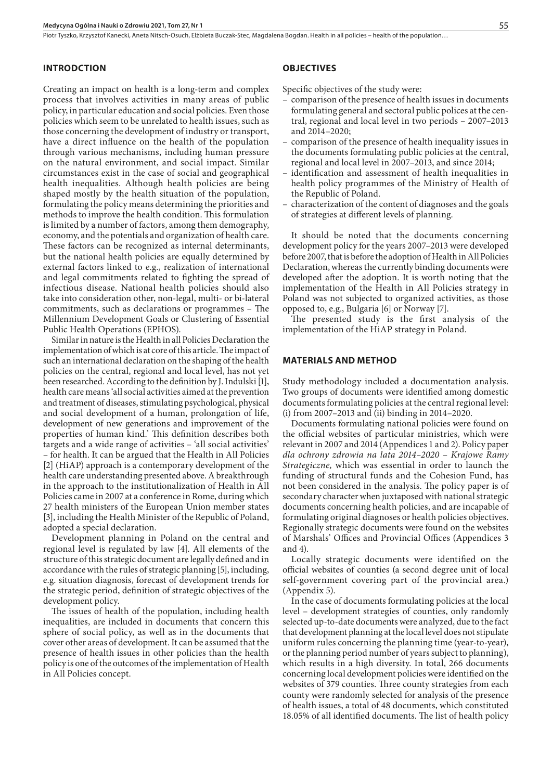Piotr Tyszko, Krzysztof Kanecki, Aneta Nitsch-Osuch, Elżbieta Buczak-Stec, Magdalena Bogdan. Health in all policies – health of the population...

# **INTRODCTION**

Creating an impact on health is a long-term and complex process that involves activities in many areas of public policy, in particular education and social policies. Even those policies which seem to be unrelated to health issues, such as those concerning the development of industry or transport, have a direct influence on the health of the population through various mechanisms, including human pressure on the natural environment, and social impact. Similar circumstances exist in the case of social and geographical health inequalities. Although health policies are being shaped mostly by the health situation of the population, formulating the policy means determining the priorities and methods to improve the health condition. This formulation is limited by a number of factors, among them demography, economy, and the potentials and organization of health care. These factors can be recognized as internal determinants, but the national health policies are equally determined by external factors linked to e.g., realization of international and legal commitments related to fighting the spread of infectious disease. National health policies should also take into consideration other, non-legal, multi- or bi-lateral commitments, such as declarations or programmes – The Millennium Development Goals or Clustering of Essential Public Health Operations (EPHOS).

Similar in nature is the Health in all Policies Declaration the implementation of which is at core of this article. The impact of such an international declaration on the shaping of the health policies on the central, regional and local level, has not yet been researched. According to the definition by J. Indulski [1], health care means 'all social activities aimed at the prevention and treatment of diseases, stimulating psychological, physical and social development of a human, prolongation of life, development of new generations and improvement of the properties of human kind.' This definition describes both targets and a wide range of activities – 'all social activities' – for health. It can be argued that the Health in All Policies [2] (HiAP) approach is a contemporary development of the health care understanding presented above. A breakthrough in the approach to the institutionalization of Health in All Policies came in 2007 at a conference in Rome, during which 27 health ministers of the European Union member states [3], including the Health Minister of the Republic of Poland, adopted a special declaration.

Development planning in Poland on the central and regional level is regulated by law [4]. All elements of the structure of this strategic document are legally defined and in accordance with the rules of strategic planning [5], including, e.g. situation diagnosis, forecast of development trends for the strategic period, definition of strategic objectives of the development policy.

The issues of health of the population, including health inequalities, are included in documents that concern this sphere of social policy, as well as in the documents that cover other areas of development. It can be assumed that the presence of health issues in other policies than the health policy is one of the outcomes of the implementation of Health in All Policies concept.

#### **OBJECTIVES**

Specific objectives of the study were:

- comparison of the presence of health issues in documents formulating general and sectoral public polices at the central, regional and local level in two periods – 2007–2013 and 2014–2020;
- comparison of the presence of health inequality issues in the documents formulating public policies at the central, regional and local level in 2007–2013, and since 2014;
- identification and assessment of health inequalities in health policy programmes of the Ministry of Health of the Republic of Poland.
- characterization of the content of diagnoses and the goals of strategies at different levels of planning.

It should be noted that the documents concerning development policy for the years 2007–2013 were developed before 2007, that is before the adoption of Health in All Policies Declaration, whereas the currently binding documents were developed after the adoption. It is worth noting that the implementation of the Health in All Policies strategy in Poland was not subjected to organized activities, as those opposed to, e.g., Bulgaria [6] or Norway [7].

The presented study is the first analysis of the implementation of the HiAP strategy in Poland.

#### **MATERIALS AND METHOD**

Study methodology included a documentation analysis. Two groups of documents were identified among domestic documents formulating policies at the central regional level: (i) from 2007–2013 and (ii) binding in 2014–2020.

Documents formulating national policies were found on the official websites of particular ministries, which were relevant in 2007 and 2014 (Appendices 1 and 2). Policy paper *dla ochrony zdrowia na lata 2014–2020 – Krajowe Ramy Strategiczne,* which was essential in order to launch the funding of structural funds and the Cohesion Fund, has not been considered in the analysis. The policy paper is of secondary character when juxtaposed with national strategic documents concerning health policies, and are incapable of formulating original diagnoses or health policies objectives. Regionally strategic documents were found on the websites of Marshals' Offices and Provincial Offices (Appendices 3 and 4).

Locally strategic documents were identified on the official websites of counties (a second degree unit of local self-government covering part of the provincial area.) (Appendix 5).

In the case of documents formulating policies at the local level – development strategies of counties, only randomly selected up-to-date documents were analyzed, due to the fact that development planning at the local level does not stipulate uniform rules concerning the planning time (year-to-year), or the planning period number of years subject to planning), which results in a high diversity. In total, 266 documents concerning local development policies were identified on the websites of 379 counties. Three county strategies from each county were randomly selected for analysis of the presence of health issues, a total of 48 documents, which constituted 18.05% of all identified documents. The list of health policy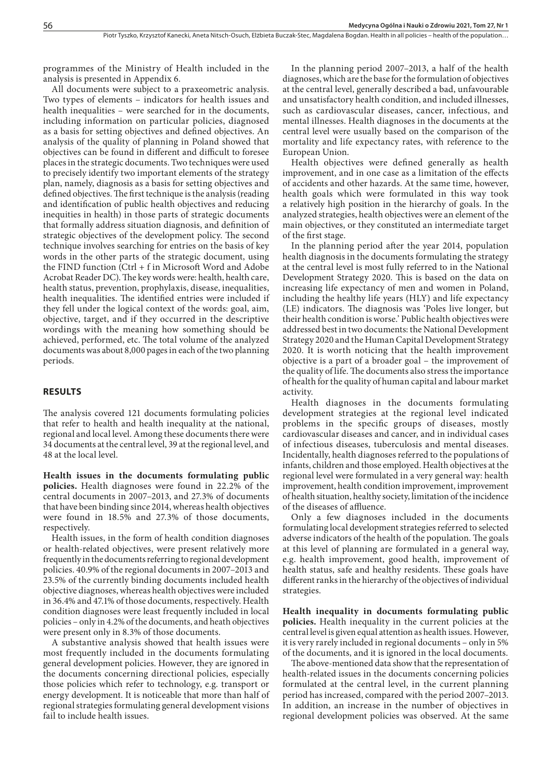programmes of the Ministry of Health included in the analysis is presented in Appendix 6.

All documents were subject to a praxeometric analysis. Two types of elements – indicators for health issues and health inequalities – were searched for in the documents, including information on particular policies, diagnosed as a basis for setting objectives and defined objectives. An analysis of the quality of planning in Poland showed that objectives can be found in different and difficult to foresee places in the strategic documents. Two techniques were used to precisely identify two important elements of the strategy plan, namely, diagnosis as a basis for setting objectives and defined objectives. The first technique is the analysis (reading and identification of public health objectives and reducing inequities in health) in those parts of strategic documents that formally address situation diagnosis, and definition of strategic objectives of the development policy. The second technique involves searching for entries on the basis of key words in the other parts of the strategic document, using the FIND function (Ctrl + f in Microsoft Word and Adobe Acrobat Reader DC). The key words were: health, health care, health status, prevention, prophylaxis, disease, inequalities, health inequalities. The identified entries were included if they fell under the logical context of the words: goal, aim, objective, target, and if they occurred in the descriptive wordings with the meaning how something should be achieved, performed, etc. The total volume of the analyzed documents was about 8,000 pages in each of the two planning periods.

#### **RESULTS**

The analysis covered 121 documents formulating policies that refer to health and health inequality at the national, regional and local level. Among these documents there were 34 documents at the central level, 39 at the regional level, and 48 at the local level.

**Health issues in the documents formulating public policies.**  Health diagnoses were found in 22.2% of the central documents in 2007–2013, and 27.3% of documents that have been binding since 2014, whereas health objectives were found in 18.5% and 27.3% of those documents, respectively.

Health issues, in the form of health condition diagnoses or health-related objectives, were present relatively more frequently in the documents referring to regional development policies. 40.9% of the regional documents in 2007–2013 and 23.5% of the currently binding documents included health objective diagnoses, whereas health objectives were included in 36.4% and 47.1% of those documents, respectively. Health condition diagnoses were least frequently included in local policies – only in 4.2% of the documents, and heath objectives were present only in 8.3% of those documents.

A substantive analysis showed that health issues were most frequently included in the documents formulating general development policies. However, they are ignored in the documents concerning directional policies, especially those policies which refer to technology, e.g. transport or energy development. It is noticeable that more than half of regional strategies formulating general development visions fail to include health issues.

In the planning period 2007–2013, a half of the health diagnoses, which are the base for the formulation of objectives at the central level, generally described a bad, unfavourable and unsatisfactory health condition, and included illnesses, such as cardiovascular diseases, cancer, infectious, and mental illnesses. Health diagnoses in the documents at the central level were usually based on the comparison of the mortality and life expectancy rates, with reference to the European Union.

Health objectives were defined generally as health improvement, and in one case as a limitation of the effects of accidents and other hazards. At the same time, however, health goals which were formulated in this way took a relatively high position in the hierarchy of goals. In the analyzed strategies, health objectives were an element of the main objectives, or they constituted an intermediate target of the first stage.

In the planning period after the year 2014, population health diagnosis in the documents formulating the strategy at the central level is most fully referred to in the National Development Strategy 2020. This is based on the data on increasing life expectancy of men and women in Poland, including the healthy life years (HLY) and life expectancy (LE) indicators. The diagnosis was 'Poles live longer, but their health condition is worse.' Public health objectives were addressed best in two documents: the National Development Strategy 2020 and the Human Capital Development Strategy 2020. It is worth noticing that the health improvement objective is a part of a broader goal – the improvement of the quality of life. The documents also stress the importance of health for the quality of human capital and labour market activity.

Health diagnoses in the documents formulating development strategies at the regional level indicated problems in the specific groups of diseases, mostly cardiovascular diseases and cancer, and in individual cases of infectious diseases, tuberculosis and mental diseases. Incidentally, health diagnoses referred to the populations of infants, children and those employed. Health objectives at the regional level were formulated in a very general way: health improvement, health condition improvement, improvement of health situation, healthy society, limitation of the incidence of the diseases of affluence.

Only a few diagnoses included in the documents formulating local development strategies referred to selected adverse indicators of the health of the population. The goals at this level of planning are formulated in a general way, e.g. health improvement, good health, improvement of health status, safe and healthy residents. These goals have different ranks in the hierarchy of the objectives of individual strategies.

**Health inequality in documents formulating public policies.** Health inequality in the current policies at the central level is given equal attention as health issues. However, it is very rarely included in regional documents – only in 5% of the documents, and it is ignored in the local documents.

The above-mentioned data show that the representation of health-related issues in the documents concerning policies formulated at the central level, in the current planning period has increased, compared with the period 2007–2013. In addition, an increase in the number of objectives in regional development policies was observed. At the same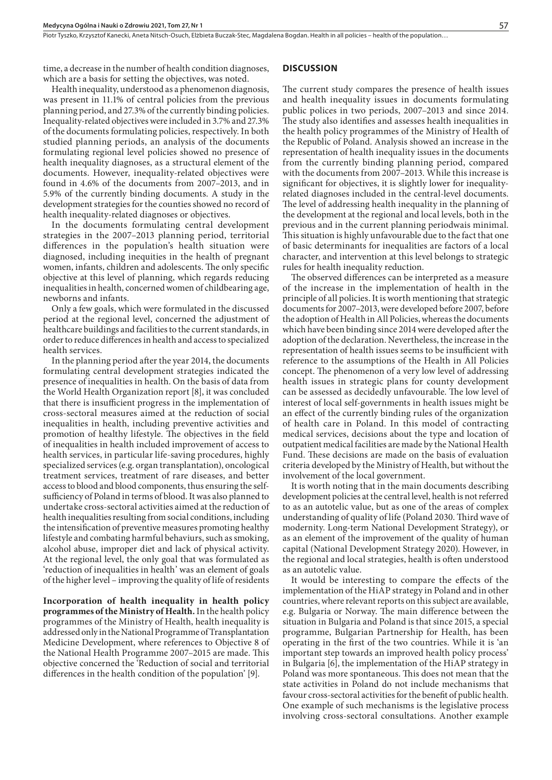time, a decrease in the number of health condition diagnoses, which are a basis for setting the objectives, was noted.

Health inequality, understood as a phenomenon diagnosis, was present in 11.1% of central policies from the previous planning period, and 27.3% of the currently binding policies. Inequality-related objectives were included in 3.7% and 27.3% of the documents formulating policies, respectively. In both studied planning periods, an analysis of the documents formulating regional level policies showed no presence of health inequality diagnoses, as a structural element of the documents. However, inequality-related objectives were found in 4.6% of the documents from 2007–2013, and in 5.9% of the currently binding documents. A study in the development strategies for the counties showed no record of health inequality-related diagnoses or objectives.

In the documents formulating central development strategies in the 2007–2013 planning period, territorial differences in the population's health situation were diagnosed, including inequities in the health of pregnant women, infants, children and adolescents. The only specific objective at this level of planning, which regards reducing inequalities in health, concerned women of childbearing age, newborns and infants.

Only a few goals, which were formulated in the discussed period at the regional level, concerned the adjustment of healthcare buildings and facilities to the current standards, in order to reduce differences in health and access to specialized health services.

In the planning period after the year 2014, the documents formulating central development strategies indicated the presence of inequalities in health. On the basis of data from the World Health Organization report [8], it was concluded that there is insufficient progress in the implementation of cross-sectoral measures aimed at the reduction of social inequalities in health, including preventive activities and promotion of healthy lifestyle. The objectives in the field of inequalities in health included improvement of access to health services, in particular life-saving procedures, highly specialized services (e.g. organ transplantation), oncological treatment services, treatment of rare diseases, and better access to blood and blood components, thus ensuring the selfsufficiency of Poland in terms of blood. It was also planned to undertake cross-sectoral activities aimed at the reduction of health inequalities resulting from social conditions, including the intensification of preventive measures promoting healthy lifestyle and combating harmful behaviurs, such as smoking, alcohol abuse, improper diet and lack of physical activity. At the regional level, the only goal that was formulated as 'reduction of inequalities in health' was an element of goals of the higher level – improving the quality of life of residents

**Incorporation of health inequality in health policy programmes of the Ministry of Health.** In the health policy programmes of the Ministry of Health, health inequality is addressed only in the National Programme of Transplantation Medicine Development, where references to Objective 8 of the National Health Programme 2007–2015 are made. This objective concerned the 'Reduction of social and territorial differences in the health condition of the population' [9].

#### **DISCUSSION**

The current study compares the presence of health issues and health inequality issues in documents formulating public polices in two periods, 2007–2013 and since 2014. The study also identifies and assesses health inequalities in the health policy programmes of the Ministry of Health of the Republic of Poland. Analysis showed an increase in the representation of health inequality issues in the documents from the currently binding planning period, compared with the documents from 2007–2013. While this increase is significant for objectives, it is slightly lower for inequalityrelated diagnoses included in the central-level documents. The level of addressing health inequality in the planning of the development at the regional and local levels, both in the previous and in the current planning periodwais minimal. This situation is highly unfavourable due to the fact that one of basic determinants for inequalities are factors of a local character, and intervention at this level belongs to strategic rules for health inequality reduction.

The observed differences can be interpreted as a measure of the increase in the implementation of health in the principle of all policies. It is worth mentioning that strategic documents for 2007–2013, were developed before 2007, before the adoption of Health in All Policies, whereas the documents which have been binding since 2014 were developed after the adoption of the declaration. Nevertheless, the increase in the representation of health issues seems to be insufficient with reference to the assumptions of the Health in All Policies concept. The phenomenon of a very low level of addressing health issues in strategic plans for county development can be assessed as decidedly unfavourable. The low level of interest of local self-governments in health issues might be an effect of the currently binding rules of the organization of health care in Poland. In this model of contracting medical services, decisions about the type and location of outpatient medical facilities are made by the National Health Fund. These decisions are made on the basis of evaluation criteria developed by the Ministry of Health, but without the involvement of the local government.

It is worth noting that in the main documents describing development policies at the central level, health is not referred to as an autotelic value, but as one of the areas of complex understanding of quality of life (Poland 2030. Third wave of modernity. Long-term National Development Strategy), or as an element of the improvement of the quality of human capital (National Development Strategy 2020). However, in the regional and local strategies, health is often understood as an autotelic value.

It would be interesting to compare the effects of the implementation of the HiAP strategy in Poland and in other countries, where relevant reports on this subject are available, e.g. Bulgaria or Norway. The main difference between the situation in Bulgaria and Poland is that since 2015, a special programme, Bulgarian Partnership for Health, has been operating in the first of the two countries. While it is 'an important step towards an improved health policy process' in Bulgaria [6], the implementation of the HiAP strategy in Poland was more spontaneous. This does not mean that the state activities in Poland do not include mechanisms that favour cross-sectoral activities for the benefit of public health. One example of such mechanisms is the legislative process involving cross-sectoral consultations. Another example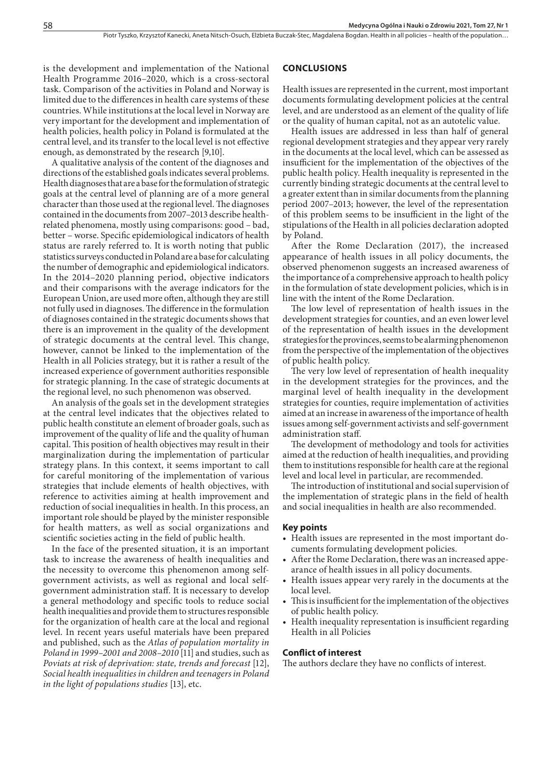is the development and implementation of the National Health Programme 2016–2020, which is a cross-sectoral task. Comparison of the activities in Poland and Norway is limited due to the differences in health care systems of these countries. While institutions at the local level in Norway are very important for the development and implementation of health policies, health policy in Poland is formulated at the central level, and its transfer to the local level is not effective enough, as demonstrated by the research [9,10].

A qualitative analysis of the content of the diagnoses and directions of the established goals indicates several problems. Health diagnoses that are a base for the formulation of strategic goals at the central level of planning are of a more general character than those used at the regional level. The diagnoses contained in the documents from 2007–2013 describe healthrelated phenomena, mostly using comparisons: good – bad, better – worse. Specific epidemiological indicators of health status are rarely referred to. It is worth noting that public statistics surveys conducted in Poland are a base for calculating the number of demographic and epidemiological indicators. In the 2014–2020 planning period, objective indicators and their comparisons with the average indicators for the European Union, are used more often, although they are still not fully used in diagnoses. The difference in the formulation of diagnoses contained in the strategic documents shows that there is an improvement in the quality of the development of strategic documents at the central level. This change, however, cannot be linked to the implementation of the Health in all Policies strategy, but it is rather a result of the increased experience of government authorities responsible for strategic planning. In the case of strategic documents at the regional level, no such phenomenon was observed.

An analysis of the goals set in the development strategies at the central level indicates that the objectives related to public health constitute an element of broader goals, such as improvement of the quality of life and the quality of human capital. This position of health objectives may result in their marginalization during the implementation of particular strategy plans. In this context, it seems important to call for careful monitoring of the implementation of various strategies that include elements of health objectives, with reference to activities aiming at health improvement and reduction of social inequalities in health. In this process, an important role should be played by the minister responsible for health matters, as well as social organizations and scientific societies acting in the field of public health.

In the face of the presented situation, it is an important task to increase the awareness of health inequalities and the necessity to overcome this phenomenon among selfgovernment activists, as well as regional and local selfgovernment administration staff. It is necessary to develop a general methodology and specific tools to reduce social health inequalities and provide them to structures responsible for the organization of health care at the local and regional level. In recent years useful materials have been prepared and published, such as the *Atlas of population mortality in Poland in 1999–2001 and 2008–2010* [11] and studies, such as *Poviats at risk of deprivation: state, trends and forecast* [12], *Social health inequalities in children and teenagers in Poland in the light of populations studies* [13], etc.

#### **CONCLUSIONS**

Health issues are represented in the current, most important documents formulating development policies at the central level, and are understood as an element of the quality of life or the quality of human capital, not as an autotelic value.

Health issues are addressed in less than half of general regional development strategies and they appear very rarely in the documents at the local level, which can be assessed as insufficient for the implementation of the objectives of the public health policy. Health inequality is represented in the currently binding strategic documents at the central level to a greater extent than in similar documents from the planning period 2007–2013; however, the level of the representation of this problem seems to be insufficient in the light of the stipulations of the Health in all policies declaration adopted by Poland.

After the Rome Declaration (2017), the increased appearance of health issues in all policy documents, the observed phenomenon suggests an increased awareness of the importance of a comprehensive approach to health policy in the formulation of state development policies, which is in line with the intent of the Rome Declaration.

The low level of representation of health issues in the development strategies for counties, and an even lower level of the representation of health issues in the development strategies for the provinces, seems to be alarming phenomenon from the perspective of the implementation of the objectives of public health policy.

The very low level of representation of health inequality in the development strategies for the provinces, and the marginal level of health inequality in the development strategies for counties, require implementation of activities aimed at an increase in awareness of the importance of health issues among self-government activists and self-government administration staff.

The development of methodology and tools for activities aimed at the reduction of health inequalities, and providing them to institutions responsible for health care at the regional level and local level in particular, are recommended.

The introduction of institutional and social supervision of the implementation of strategic plans in the field of health and social inequalities in health are also recommended.

#### **Key points**

- Health issues are represented in the most important documents formulating development policies.
- • After the Rome Declaration, there was an increased appearance of health issues in all policy documents.
- • Health issues appear very rarely in the documents at the local level.
- • This is insufficient for the implementation of the objectives of public health policy.
- • Health inequality representation is insufficient regarding Health in all Policies

#### **Conflict of interest**

The authors declare they have no conflicts of interest.